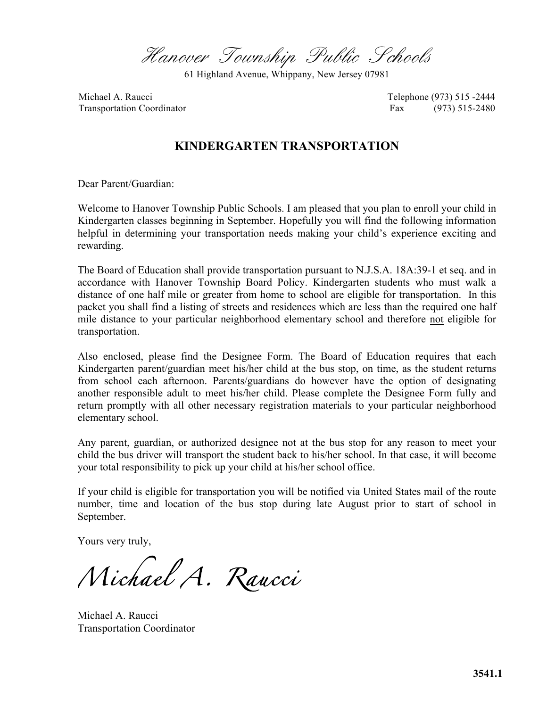Hanover Township Public Schools

61 Highland Avenue, Whippany, New Jersey 07981

Michael A. Raucci **Telephone (973)** 515 -2444 Transportation Coordinator **Fax** (973) 515-2480

### **KINDERGARTEN TRANSPORTATION**

Dear Parent/Guardian:

Welcome to Hanover Township Public Schools. I am pleased that you plan to enroll your child in Kindergarten classes beginning in September. Hopefully you will find the following information helpful in determining your transportation needs making your child's experience exciting and rewarding.

The Board of Education shall provide transportation pursuant to N.J.S.A. 18A:39-1 et seq. and in accordance with Hanover Township Board Policy. Kindergarten students who must walk a distance of one half mile or greater from home to school are eligible for transportation. In this packet you shall find a listing of streets and residences which are less than the required one half mile distance to your particular neighborhood elementary school and therefore not eligible for transportation.

Also enclosed, please find the Designee Form. The Board of Education requires that each Kindergarten parent/guardian meet his/her child at the bus stop, on time, as the student returns from school each afternoon. Parents/guardians do however have the option of designating another responsible adult to meet his/her child. Please complete the Designee Form fully and return promptly with all other necessary registration materials to your particular neighborhood elementary school.

Any parent, guardian, or authorized designee not at the bus stop for any reason to meet your child the bus driver will transport the student back to his/her school. In that case, it will become your total responsibility to pick up your child at his/her school office.

If your child is eligible for transportation you will be notified via United States mail of the route number, time and location of the bus stop during late August prior to start of school in September.

Yours very truly,

*Michael A. Raucci* 

Michael A. Raucci Transportation Coordinator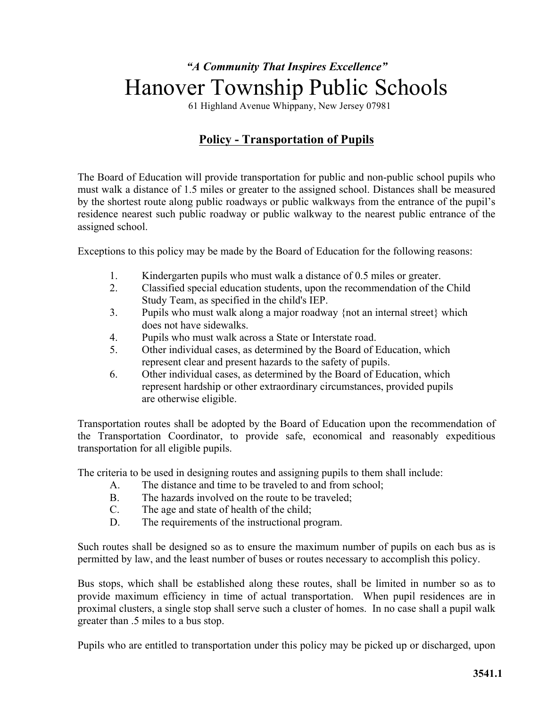# *"A Community That Inspires Excellence"* Hanover Township Public Schools

61 Highland Avenue Whippany, New Jersey 07981

## **Policy - Transportation of Pupils**

The Board of Education will provide transportation for public and non-public school pupils who must walk a distance of 1.5 miles or greater to the assigned school. Distances shall be measured by the shortest route along public roadways or public walkways from the entrance of the pupil's residence nearest such public roadway or public walkway to the nearest public entrance of the assigned school.

Exceptions to this policy may be made by the Board of Education for the following reasons:

- 1. Kindergarten pupils who must walk a distance of 0.5 miles or greater.
- 2. Classified special education students, upon the recommendation of the Child Study Team, as specified in the child's IEP.
- 3. Pupils who must walk along a major roadway {not an internal street} which does not have sidewalks.
- 4. Pupils who must walk across a State or Interstate road.
- 5. Other individual cases, as determined by the Board of Education, which represent clear and present hazards to the safety of pupils.
- 6. Other individual cases, as determined by the Board of Education, which represent hardship or other extraordinary circumstances, provided pupils are otherwise eligible.

Transportation routes shall be adopted by the Board of Education upon the recommendation of the Transportation Coordinator, to provide safe, economical and reasonably expeditious transportation for all eligible pupils.

The criteria to be used in designing routes and assigning pupils to them shall include:

- A. The distance and time to be traveled to and from school;
- B. The hazards involved on the route to be traveled;
- C. The age and state of health of the child;
- D. The requirements of the instructional program.

Such routes shall be designed so as to ensure the maximum number of pupils on each bus as is permitted by law, and the least number of buses or routes necessary to accomplish this policy.

Bus stops, which shall be established along these routes, shall be limited in number so as to provide maximum efficiency in time of actual transportation. When pupil residences are in proximal clusters, a single stop shall serve such a cluster of homes. In no case shall a pupil walk greater than .5 miles to a bus stop.

Pupils who are entitled to transportation under this policy may be picked up or discharged, upon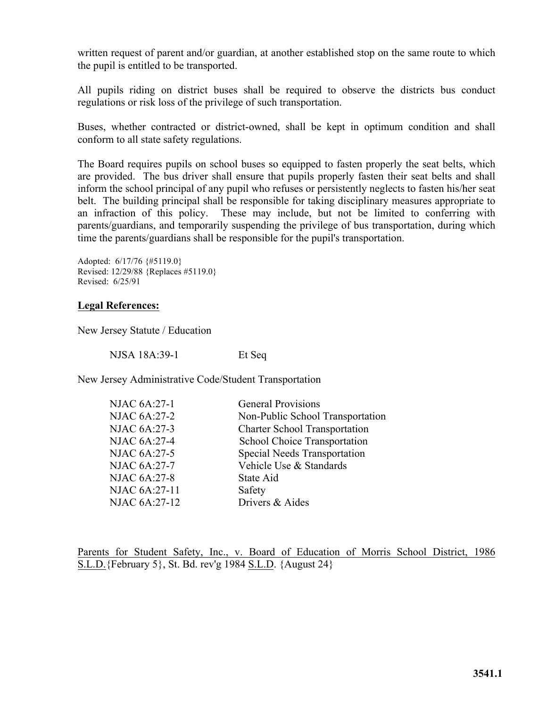written request of parent and/or guardian, at another established stop on the same route to which the pupil is entitled to be transported.

All pupils riding on district buses shall be required to observe the districts bus conduct regulations or risk loss of the privilege of such transportation.

Buses, whether contracted or district-owned, shall be kept in optimum condition and shall conform to all state safety regulations.

The Board requires pupils on school buses so equipped to fasten properly the seat belts, which are provided. The bus driver shall ensure that pupils properly fasten their seat belts and shall inform the school principal of any pupil who refuses or persistently neglects to fasten his/her seat belt. The building principal shall be responsible for taking disciplinary measures appropriate to an infraction of this policy. These may include, but not be limited to conferring with parents/guardians, and temporarily suspending the privilege of bus transportation, during which time the parents/guardians shall be responsible for the pupil's transportation.

Adopted: 6/17/76 {#5119.0} Revised: 12/29/88 {Replaces #5119.0} Revised: 6/25/91

#### **Legal References:**

New Jersey Statute / Education

NJSA 18A:39-1 Et Seq

New Jersey Administrative Code/Student Transportation

| <b>NJAC 6A:27-1</b> | <b>General Provisions</b>            |
|---------------------|--------------------------------------|
| <b>NJAC 6A:27-2</b> | Non-Public School Transportation     |
| NJAC 6A:27-3        | <b>Charter School Transportation</b> |
| <b>NJAC 6A:27-4</b> | School Choice Transportation         |
| <b>NJAC 6A:27-5</b> | <b>Special Needs Transportation</b>  |
| <b>NJAC 6A:27-7</b> | Vehicle Use & Standards              |
| <b>NJAC 6A:27-8</b> | State Aid                            |
| NJAC 6A:27-11       | Safety                               |
| NJAC 6A:27-12       | Drivers & Aides                      |
|                     |                                      |

Parents for Student Safety, Inc., v. Board of Education of Morris School District, 1986 S.L.D.{February 5}, St. Bd. rev'g 1984 S.L.D. {August 24}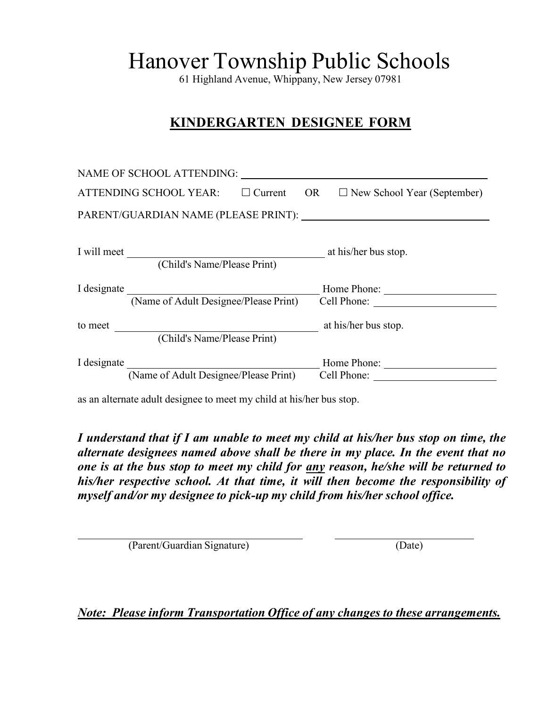61 Highland Avenue, Whippany, New Jersey 07981

## **KINDERGARTEN DESIGNEE FORM**

|             | NAME OF SCHOOL ATTENDING:             |                |           |                                    |
|-------------|---------------------------------------|----------------|-----------|------------------------------------|
|             | ATTENDING SCHOOL YEAR:                | $\Box$ Current | <b>OR</b> | $\Box$ New School Year (September) |
|             |                                       |                |           |                                    |
| I will meet | (Child's Name/Please Print)           |                |           | at his/her bus stop.               |
| I designate |                                       |                |           |                                    |
|             | (Name of Adult Designee/Please Print) |                |           | Cell Phone:                        |
| to meet     | (Child's Name/Please Print)           |                |           | at his/her bus stop.               |
| I designate |                                       |                |           | Home Phone:                        |
|             | (Name of Adult Designee/Please Print) |                |           | Cell Phone:                        |

as an alternate adult designee to meet my child at his/her bus stop.

*I understand that if I am unable to meet my child at his/her bus stop on time, the alternate designees named above shall be there in my place. In the event that no one is at the bus stop to meet my child for any reason, he/she will be returned to his/her respective school. At that time, it will then become the responsibility of myself and/or my designee to pick-up my child from his/her school office.*

(Parent/Guardian Signature) (Date)

*Note: Please inform Transportation Office of any changes to these arrangements.*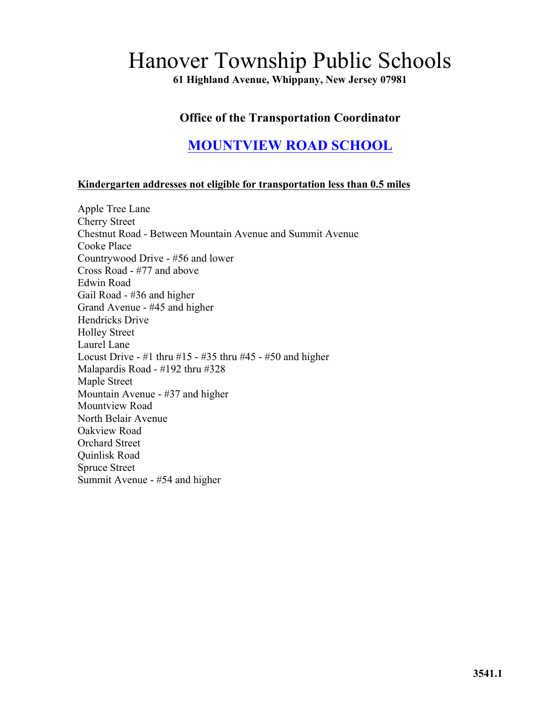**61 Highland Avenue, Whippany, New Jersey 07981**

## **Office of the Transportation Coordinator**

# **MOUNTVIEW ROAD SCHOOL**

#### **Kindergarten addresses not eligible for transportation less than 0.5 miles**

Apple Tree Lane Cherry Street Chestnut Road - Between Mountain Avenue and Summit Avenue Cooke Place Countrywood Drive - #56 and lower Cross Road - #77 and above Edwin Road Gail Road - #36 and higher Grand Avenue - #45 and higher Hendricks Drive Holley Street Laurel Lane Locust Drive - #1 thru #15 - #35 thru #45 - #50 and higher Malapardis Road - #192 thru #328 Maple Street Mountain Avenue - #37 and higher Mountview Road North Belair Avenue Oakview Road Orchard Street Quinlisk Road Spruce Street Summit Avenue - #54 and higher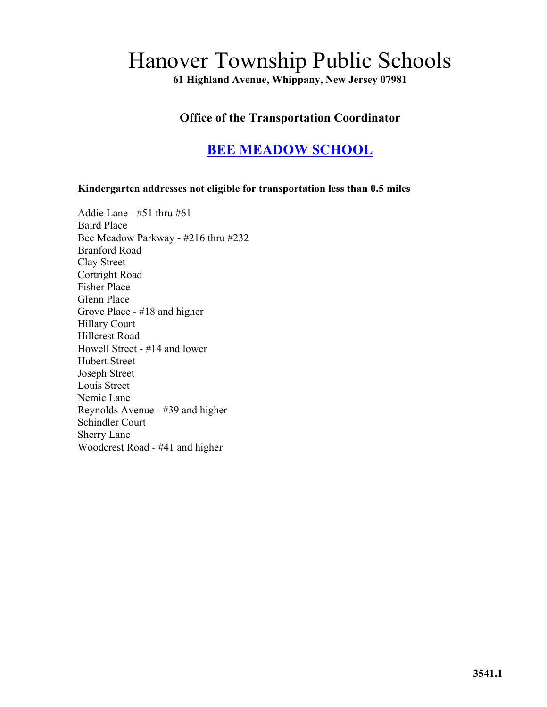**61 Highland Avenue, Whippany, New Jersey 07981**

## **Office of the Transportation Coordinator**

# **BEE MEADOW SCHOOL**

#### **Kindergarten addresses not eligible for transportation less than 0.5 miles**

Addie Lane - #51 thru #61 Baird Place Bee Meadow Parkway - #216 thru #232 Branford Road Clay Street Cortright Road Fisher Place Glenn Place Grove Place - #18 and higher Hillary Court Hillcrest Road Howell Street - #14 and lower Hubert Street Joseph Street Louis Street Nemic Lane Reynolds Avenue - #39 and higher Schindler Court Sherry Lane Woodcrest Road - #41 and higher